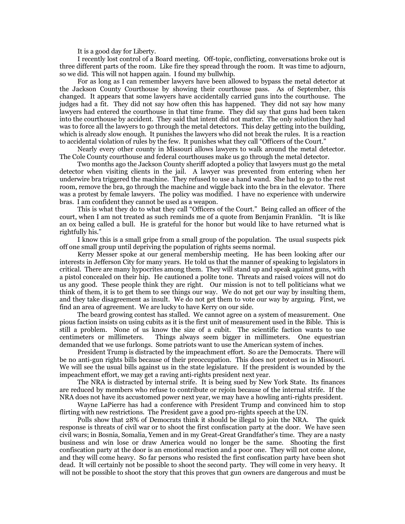It is a good day for Liberty.

I recently lost control of a Board meeting. Off-topic, conflicting, conversations broke out is three different parts of the room. Like fire they spread through the room. It was time to adjourn, so we did. This will not happen again. I found my bullwhip.

For as long as I can remember lawyers have been allowed to bypass the metal detector at the Jackson County Courthouse by showing their courthouse pass. As of September, this changed. It appears that some lawyers have accidentally carried guns into the courthouse. The judges had a fit. They did not say how often this has happened. They did not say how many lawyers had entered the courthouse in that time frame. They did say that guns had been taken into the courthouse by accident. They said that intent did not matter. The only solution they had was to force all the lawyers to go through the metal detectors. This delay getting into the building, which is already slow enough. It punishes the lawyers who did not break the rules. It is a reaction to accidental violation of rules by the few. It punishes what they call "Officers of the Court."

Nearly every other county in Missouri allows lawyers to walk around the metal detector. The Cole County courthouse and federal courthouses make us go through the metal detector.

Two months ago the Jackson County sheriff adopted a policy that lawyers must go the metal detector when visiting clients in the jail. A lawyer was prevented from entering when her underwire bra triggered the machine. They refused to use a hand wand. She had to go to the rest room, remove the bra, go through the machine and wiggle back into the bra in the elevator. There was a protest by female lawyers. The policy was modified. I have no experience with underwire bras. I am confident they cannot be used as a weapon.

This is what they do to what they call "Officers of the Court." Being called an officer of the court, when I am not treated as such reminds me of a quote from Benjamin Franklin. "It is like an ox being called a bull. He is grateful for the honor but would like to have returned what is rightfully his."

I know this is a small gripe from a small group of the population. The usual suspects pick off one small group until depriving the population of rights seems normal.

Kerry Messer spoke at our general membership meeting. He has been looking after our interests in Jefferson City for many years. He told us that the manner of speaking to legislators in critical. There are many hypocrites among them. They will stand up and speak against guns, with a pistol concealed on their hip. He cautioned a polite tone. Threats and raised voices will not do us any good. These people think they are right. Our mission is not to tell politicians what we think of them, it is to get them to see things our way. We do not get our way by insulting them, and they take disagreement as insult. We do not get them to vote our way by arguing. First, we find an area of agreement. We are lucky to have Kerry on our side.

The beard growing contest has stalled. We cannot agree on a system of measurement. One pious faction insists on using cubits as it is the first unit of measurement used in the Bible. This is still a problem. None of us know the size of a cubit. The scientific faction wants to use centimeters or millimeters. Things always seem bigger in millimeters. One equestrian demanded that we use furlongs. Some patriots want to use the American system of inches.

President Trump is distracted by the impeachment effort. So are the Democrats. There will be no anti-gun rights bills because of their preoccupation. This does not protect us in Missouri. We will see the usual bills against us in the state legislature. If the president is wounded by the impeachment effort, we may get a raving anti-rights president next year.

The NRA is distracted by internal strife. It is being sued by New York State. Its finances are reduced by members who refuse to contribute or rejoin because of the internal strife. If the NRA does not have its accustomed power next year, we may have a howling anti-rights president.

Wayne LaPierre has had a conference with President Trump and convinced him to stop flirting with new restrictions. The President gave a good pro-rights speech at the UN.

Polls show that 28% of Democrats think it should be illegal to join the NRA. The quick response is threats of civil war or to shoot the first confiscation party at the door. We have seen civil wars; in Bosnia, Somalia, Yemen and in my Great-Great Grandfather's time. They are a nasty business and win lose or draw America would no longer be the same. Shooting the first confiscation party at the door is an emotional reaction and a poor one. They will not come alone, and they will come heavy. So far persons who resisted the first confiscation party have been shot dead. It will certainly not be possible to shoot the second party. They will come in very heavy. It will not be possible to shoot the story that this proves that gun owners are dangerous and must be